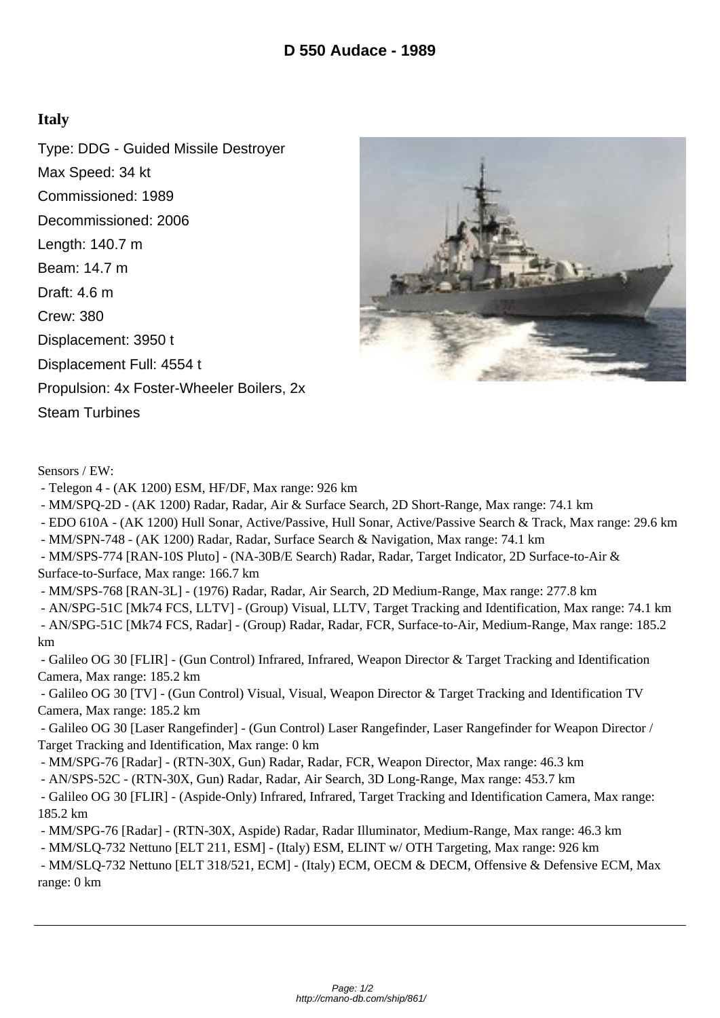## **Italy**

Type: DDG - Guided Missile Destroyer Max Speed: 34 kt Commissioned: 1989 Decommissioned: 2006 Length: 140.7 m Beam: 14.7 m Draft: 4.6 m Crew: 380 Displacement: 3950 t Displacement Full: 4554 t Propulsion: 4x Foster-Wheeler Boilers, 2x Steam Turbines



Sensors / EW:

- Telegon 4 - (AK 1200) ESM, HF/DF, Max range: 926 km

- MM/SPQ-2D - (AK 1200) Radar, Radar, Air & Surface Search, 2D Short-Range, Max range: 74.1 km

- EDO 610A - (AK 1200) Hull Sonar, Active/Passive, Hull Sonar, Active/Passive Search & Track, Max range: 29.6 km

- MM/SPN-748 - (AK 1200) Radar, Radar, Surface Search & Navigation, Max range: 74.1 km

 - MM/SPS-774 [RAN-10S Pluto] - (NA-30B/E Search) Radar, Radar, Target Indicator, 2D Surface-to-Air & Surface-to-Surface, Max range: 166.7 km

- MM/SPS-768 [RAN-3L] - (1976) Radar, Radar, Air Search, 2D Medium-Range, Max range: 277.8 km

- AN/SPG-51C [Mk74 FCS, LLTV] - (Group) Visual, LLTV, Target Tracking and Identification, Max range: 74.1 km

 - AN/SPG-51C [Mk74 FCS, Radar] - (Group) Radar, Radar, FCR, Surface-to-Air, Medium-Range, Max range: 185.2 km

 - Galileo OG 30 [FLIR] - (Gun Control) Infrared, Infrared, Weapon Director & Target Tracking and Identification Camera, Max range: 185.2 km

 - Galileo OG 30 [TV] - (Gun Control) Visual, Visual, Weapon Director & Target Tracking and Identification TV Camera, Max range: 185.2 km

 - Galileo OG 30 [Laser Rangefinder] - (Gun Control) Laser Rangefinder, Laser Rangefinder for Weapon Director / Target Tracking and Identification, Max range: 0 km

- MM/SPG-76 [Radar] - (RTN-30X, Gun) Radar, Radar, FCR, Weapon Director, Max range: 46.3 km

- AN/SPS-52C - (RTN-30X, Gun) Radar, Radar, Air Search, 3D Long-Range, Max range: 453.7 km

 - Galileo OG 30 [FLIR] - (Aspide-Only) Infrared, Infrared, Target Tracking and Identification Camera, Max range: 185.2 km

- MM/SPG-76 [Radar] - (RTN-30X, Aspide) Radar, Radar Illuminator, Medium-Range, Max range: 46.3 km

- MM/SLQ-732 Nettuno [ELT 211, ESM] - (Italy) ESM, ELINT w/ OTH Targeting, Max range: 926 km

 - MM/SLQ-732 Nettuno [ELT 318/521, ECM] - (Italy) ECM, OECM & DECM, Offensive & Defensive ECM, Max range: 0 km